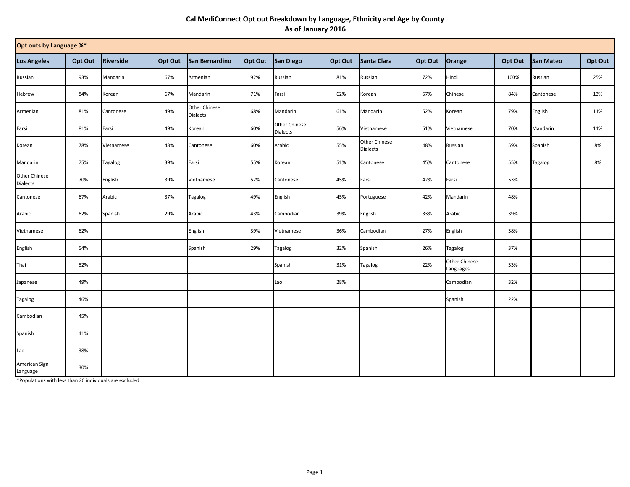## **Cal MediConnect Opt out Breakdown by Language, Ethnicity and Age by County As of January 2016**

| Opt outs by Language %*   |         |                |         |                                  |         |                                         |         |                                         |         |                                   |         |           |         |
|---------------------------|---------|----------------|---------|----------------------------------|---------|-----------------------------------------|---------|-----------------------------------------|---------|-----------------------------------|---------|-----------|---------|
| <b>Los Angeles</b>        | Opt Out | Riverside      | Opt Out | San Bernardino                   | Opt Out | <b>San Diego</b>                        | Opt Out | Santa Clara                             | Opt Out | Orange                            | Opt Out | San Mateo | Opt Out |
| Russian                   | 93%     | Mandarin       | 67%     | Armenian                         | 92%     | Russian                                 | 81%     | Russian                                 | 72%     | Hindi                             | 100%    | Russian   | 25%     |
| Hebrew                    | 84%     | Korean         | 67%     | Mandarin                         | 71%     | Farsi                                   | 62%     | Korean                                  | 57%     | Chinese                           | 84%     | Cantonese | 13%     |
| Armenian                  | 81%     | Cantonese      | 49%     | Other Chinese<br><b>Dialects</b> | 68%     | Mandarin                                | 61%     | Mandarin                                | 52%     | Korean                            | 79%     | English   | 11%     |
| Farsi                     | 81%     | Farsi          | 49%     | Korean                           | 60%     | <b>Other Chinese</b><br><b>Dialects</b> | 56%     | Vietnamese                              | 51%     | Vietnamese                        | 70%     | Mandarin  | 11%     |
| Korean                    | 78%     | Vietnamese     | 48%     | Cantonese                        | 60%     | Arabic                                  | 55%     | <b>Other Chinese</b><br><b>Dialects</b> | 48%     | Russian                           | 59%     | Spanish   | 8%      |
| Mandarin                  | 75%     | <b>Tagalog</b> | 39%     | Farsi                            | 55%     | Korean                                  | 51%     | Cantonese                               | 45%     | Cantonese                         | 55%     | Tagalog   | 8%      |
| Other Chinese<br>Dialects | 70%     | English        | 39%     | Vietnamese                       | 52%     | Cantonese                               | 45%     | Farsi                                   | 42%     | Farsi                             | 53%     |           |         |
| Cantonese                 | 67%     | Arabic         | 37%     | Tagalog                          | 49%     | English                                 | 45%     | Portuguese                              | 42%     | Mandarin                          | 48%     |           |         |
| Arabic                    | 62%     | Spanish        | 29%     | Arabic                           | 43%     | Cambodian                               | 39%     | English                                 | 33%     | Arabic                            | 39%     |           |         |
| Vietnamese                | 62%     |                |         | English                          | 39%     | Vietnamese                              | 36%     | Cambodian                               | 27%     | English                           | 38%     |           |         |
| English                   | 54%     |                |         | Spanish                          | 29%     | Tagalog                                 | 32%     | Spanish                                 | 26%     | Tagalog                           | 37%     |           |         |
| Thai                      | 52%     |                |         |                                  |         | Spanish                                 | 31%     | Tagalog                                 | 22%     | <b>Other Chinese</b><br>Languages | 33%     |           |         |
| Japanese                  | 49%     |                |         |                                  |         | Lao                                     | 28%     |                                         |         | Cambodian                         | 32%     |           |         |
| <b>Tagalog</b>            | 46%     |                |         |                                  |         |                                         |         |                                         |         | Spanish                           | 22%     |           |         |
| Cambodian                 | 45%     |                |         |                                  |         |                                         |         |                                         |         |                                   |         |           |         |
| Spanish                   | 41%     |                |         |                                  |         |                                         |         |                                         |         |                                   |         |           |         |
| Lao                       | 38%     |                |         |                                  |         |                                         |         |                                         |         |                                   |         |           |         |
| American Sign<br>Language | 30%     |                |         |                                  |         |                                         |         |                                         |         |                                   |         |           |         |

\*Populations with less than 20 individuals are excluded